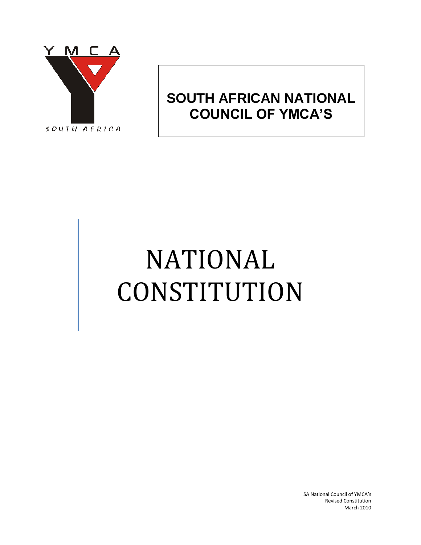

# **SOUTH AFRICAN NATIONAL COUNCIL OF YMCA'S**

# NATIONAL CONSTITUTION

SA National Council of YMCA's Revised Constitution March 2010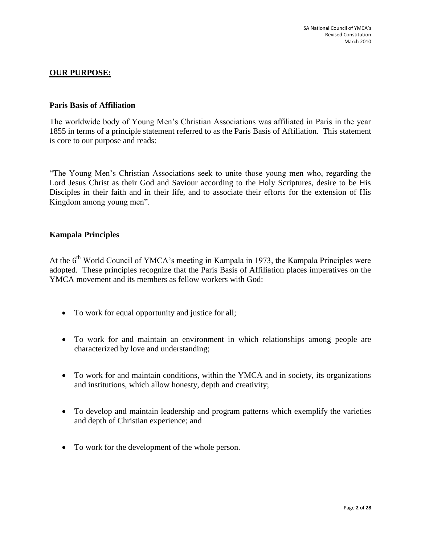# **OUR PURPOSE:**

# **Paris Basis of Affiliation**

The worldwide body of Young Men's Christian Associations was affiliated in Paris in the year 1855 in terms of a principle statement referred to as the Paris Basis of Affiliation. This statement is core to our purpose and reads:

"The Young Men's Christian Associations seek to unite those young men who, regarding the Lord Jesus Christ as their God and Saviour according to the Holy Scriptures, desire to be His Disciples in their faith and in their life, and to associate their efforts for the extension of His Kingdom among young men".

# **Kampala Principles**

At the 6<sup>th</sup> World Council of YMCA's meeting in Kampala in 1973, the Kampala Principles were adopted. These principles recognize that the Paris Basis of Affiliation places imperatives on the YMCA movement and its members as fellow workers with God:

- To work for equal opportunity and justice for all;
- To work for and maintain an environment in which relationships among people are characterized by love and understanding;
- To work for and maintain conditions, within the YMCA and in society, its organizations and institutions, which allow honesty, depth and creativity;
- To develop and maintain leadership and program patterns which exemplify the varieties and depth of Christian experience; and
- To work for the development of the whole person.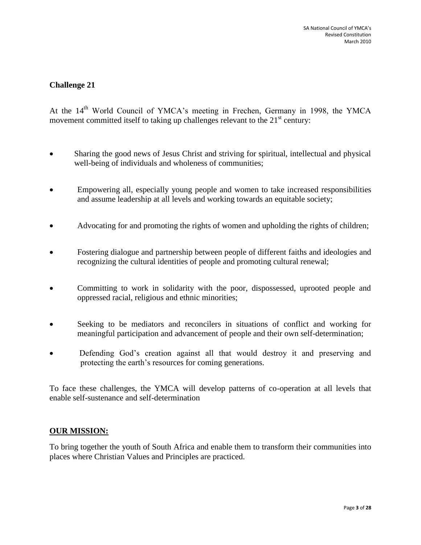# **Challenge 21**

At the 14<sup>th</sup> World Council of YMCA's meeting in Frechen, Germany in 1998, the YMCA movement committed itself to taking up challenges relevant to the  $21<sup>st</sup>$  century:

- Sharing the good news of Jesus Christ and striving for spiritual, intellectual and physical well-being of individuals and wholeness of communities;
- Empowering all, especially young people and women to take increased responsibilities and assume leadership at all levels and working towards an equitable society;
- Advocating for and promoting the rights of women and upholding the rights of children;
- Fostering dialogue and partnership between people of different faiths and ideologies and recognizing the cultural identities of people and promoting cultural renewal;
- Committing to work in solidarity with the poor, dispossessed, uprooted people and oppressed racial, religious and ethnic minorities;
- Seeking to be mediators and reconcilers in situations of conflict and working for meaningful participation and advancement of people and their own self-determination;
- Defending God's creation against all that would destroy it and preserving and protecting the earth's resources for coming generations.

To face these challenges, the YMCA will develop patterns of co-operation at all levels that enable self-sustenance and self-determination

# **OUR MISSION:**

To bring together the youth of South Africa and enable them to transform their communities into places where Christian Values and Principles are practiced.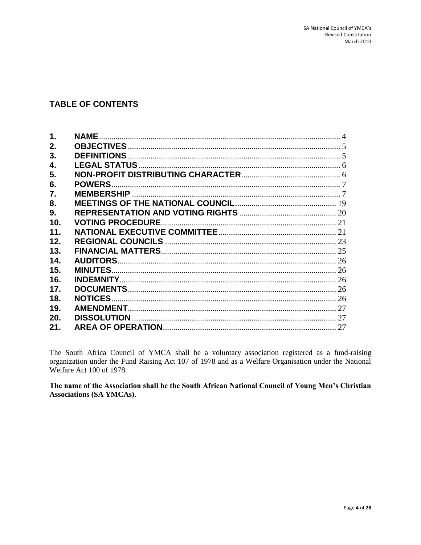# **TABLE OF CONTENTS**

| 1.              | <b>NAME.</b>            |  |
|-----------------|-------------------------|--|
| 2.              |                         |  |
| 3.              |                         |  |
| 4.              |                         |  |
| 5.              |                         |  |
| 6.              | <b>POWERS.</b>          |  |
| 7.              |                         |  |
| 8.              |                         |  |
| 9.              |                         |  |
| 10.             | <b>VOTING PROCEDURE</b> |  |
| 11.             |                         |  |
| 12.             |                         |  |
| 13.             |                         |  |
| 14 <sub>1</sub> |                         |  |
| 15.             | <b>MINUTES.</b>         |  |
| 16.             |                         |  |
| 17.             |                         |  |
| 18.             | <b>NOTICES.</b>         |  |
| 19.             |                         |  |
| 20.             |                         |  |
| 21.             |                         |  |
|                 |                         |  |

The South Africa Council of YMCA shall be a voluntary association registered as a fund-raising organization under the Fund Raising Act 107 of 1978 and as a Welfare Organisation under the National Welfare Act 100 of 1978.

The name of the Association shall be the South African National Council of Young Men's Christian **Associations (SA YMCAs).**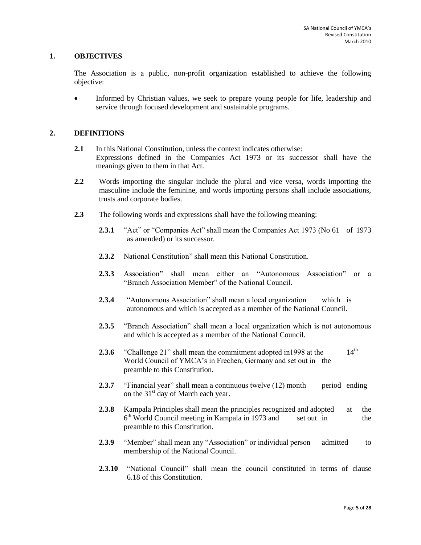#### <span id="page-4-0"></span>**1. OBJECTIVES**

The Association is a public, non-profit organization established to achieve the following objective:

• Informed by Christian values, we seek to prepare young people for life, leadership and service through focused development and sustainable programs.

#### <span id="page-4-1"></span>**2. DEFINITIONS**

- **2.1** In this National Constitution, unless the context indicates otherwise: Expressions defined in the Companies Act 1973 or its successor shall have the meanings given to them in that Act.
- **2.2** Words importing the singular include the plural and vice versa, words importing the masculine include the feminine, and words importing persons shall include associations, trusts and corporate bodies.
- **2.3** The following words and expressions shall have the following meaning:
	- **2.3.1** "Act" or "Companies Act" shall mean the Companies Act 1973 (No 61 of 1973 as amended) or its successor.
	- **2.3.2** National Constitution" shall mean this National Constitution.
	- **2.3.3** Association" shall mean either an "Autonomous Association" or a "Branch Association Member" of the National Council.
	- **2.3.4** "Autonomous Association" shall mean a local organization which is autonomous and which is accepted as a member of the National Council.
	- **2.3.5** "Branch Association" shall mean a local organization which is not autonomous and which is accepted as a member of the National Council.
	- **2.3.6** "Challenge 21" shall mean the commitment adopted in 1998 at the 14<sup>th</sup> World Council of YMCA's in Frechen, Germany and set out in the preamble to this Constitution.
	- **2.3.7** "Financial year" shall mean a continuous twelve (12) month period ending on the 31<sup>st</sup> day of March each year.
	- **2.3.8** Kampala Principles shall mean the principles recognized and adopted at the 6 th World Council meeting in Kampala in 1973 and set out in the preamble to this Constitution.
	- **2.3.9** "Member" shall mean any "Association" or individual person admitted to membership of the National Council.
	- **2.3.10** "National Council" shall mean the council constituted in terms of clause 6.18 of this Constitution.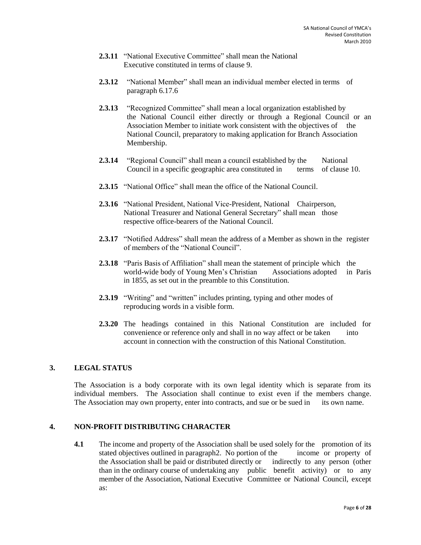- **2.3.11** "National Executive Committee" shall mean the National Executive constituted in terms of clause 9.
- **2.3.12** "National Member" shall mean an individual member elected in terms of paragraph 6.17.6
- **2.3.13** "Recognized Committee" shall mean a local organization established by the National Council either directly or through a Regional Council or an Association Member to initiate work consistent with the objectives of the National Council, preparatory to making application for Branch Association Membership.
- **2.3.14** "Regional Council" shall mean a council established by the National Council in a specific geographic area constituted in terms of clause 10.
- **2.3.15** "National Office" shall mean the office of the National Council.
- **2.3.16** "National President, National Vice-President, National Chairperson, National Treasurer and National General Secretary" shall mean those respective office-bearers of the National Council.
- **2.3.17** "Notified Address" shall mean the address of a Member as shown in the register of members of the "National Council".
- **2.3.18** "Paris Basis of Affiliation" shall mean the statement of principle which the world-wide body of Young Men's Christian Associations adopted in Paris in 1855, as set out in the preamble to this Constitution.
- **2.3.19** "Writing" and "written" includes printing, typing and other modes of reproducing words in a visible form.
- **2.3.20** The headings contained in this National Constitution are included for convenience or reference only and shall in no way affect or be taken into account in connection with the construction of this National Constitution.

#### <span id="page-5-0"></span>**3. LEGAL STATUS**

The Association is a body corporate with its own legal identity which is separate from its individual members. The Association shall continue to exist even if the members change. The Association may own property, enter into contracts, and sue or be sued in its own name.

#### <span id="page-5-1"></span>**4. NON-PROFIT DISTRIBUTING CHARACTER**

**4.1** The income and property of the Association shall be used solely for the promotion of its stated objectives outlined in paragraph2. No portion of the income or property of the Association shall be paid or distributed directly or indirectly to any person (other than in the ordinary course of undertaking any public benefit activity) or to any member of the Association, National Executive Committee or National Council, except as: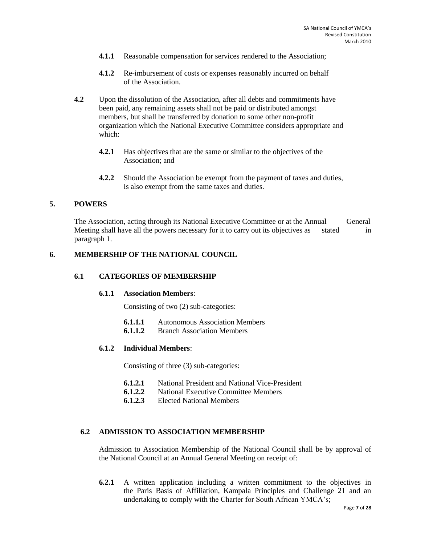- **4.1.1** Reasonable compensation for services rendered to the Association;
- **4.1.2** Re-imbursement of costs or expenses reasonably incurred on behalf of the Association.
- **4.2** Upon the dissolution of the Association, after all debts and commitments have been paid, any remaining assets shall not be paid or distributed amongst members, but shall be transferred by donation to some other non-profit organization which the National Executive Committee considers appropriate and which:
	- **4.2.1** Has objectives that are the same or similar to the objectives of the Association; and
	- **4.2.2** Should the Association be exempt from the payment of taxes and duties, is also exempt from the same taxes and duties.

#### <span id="page-6-0"></span>**5. POWERS**

The Association, acting through its National Executive Committee or at the Annual General Meeting shall have all the powers necessary for it to carry out its objectives as stated in paragraph 1.

#### <span id="page-6-1"></span>**6. MEMBERSHIP OF THE NATIONAL COUNCIL**

#### **6.1 CATEGORIES OF MEMBERSHIP**

#### **6.1.1 Association Members**:

Consisting of two (2) sub-categories:

- **6.1.1.1** Autonomous Association Members
- **6.1.1.2** Branch Association Members

#### **6.1.2 Individual Members**:

Consisting of three (3) sub-categories:

- **6.1.2.1** National President and National Vice-President
- **6.1.2.2** National Executive Committee Members
- **6.1.2.3** Elected National Members

#### **6.2 ADMISSION TO ASSOCIATION MEMBERSHIP**

Admission to Association Membership of the National Council shall be by approval of the National Council at an Annual General Meeting on receipt of:

**6.2.1** A written application including a written commitment to the objectives in the Paris Basis of Affiliation, Kampala Principles and Challenge 21 and an undertaking to comply with the Charter for South African YMCA's;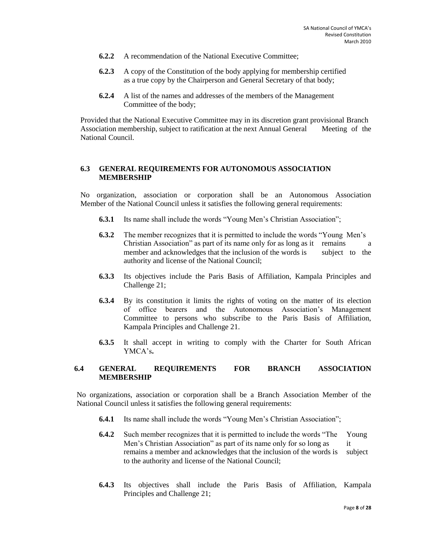- **6.2.2** A recommendation of the National Executive Committee;
- **6.2.3** A copy of the Constitution of the body applying for membership certified as a true copy by the Chairperson and General Secretary of that body;
- **6.2.4** A list of the names and addresses of the members of the Management Committee of the body;

Provided that the National Executive Committee may in its discretion grant provisional Branch Association membership, subject to ratification at the next Annual General Meeting of the National Council.

# **6.3 GENERAL REQUIREMENTS FOR AUTONOMOUS ASSOCIATION MEMBERSHIP**

No organization, association or corporation shall be an Autonomous Association Member of the National Council unless it satisfies the following general requirements:

- **6.3.1** Its name shall include the words "Young Men's Christian Association";
- **6.3.2** The member recognizes that it is permitted to include the words "Young Men's Christian Association" as part of its name only for as long as it remains a member and acknowledges that the inclusion of the words is subject to the authority and license of the National Council;
- **6.3.3** Its objectives include the Paris Basis of Affiliation, Kampala Principles and Challenge 21;
- **6.3.4** By its constitution it limits the rights of voting on the matter of its election of office bearers and the Autonomous Association's Management Committee to persons who subscribe to the Paris Basis of Affiliation, Kampala Principles and Challenge 21.
- **6.3.5** It shall accept in writing to comply with the Charter for South African YMCA's**.**

#### **6.4 GENERAL REQUIREMENTS FOR BRANCH ASSOCIATION MEMBERSHIP**

No organizations, association or corporation shall be a Branch Association Member of the National Council unless it satisfies the following general requirements:

- **6.4.1** Its name shall include the words "Young Men's Christian Association";
- **6.4.2** Such member recognizes that it is permitted to include the words "The Young Men's Christian Association" as part of its name only for so long as it remains a member and acknowledges that the inclusion of the words is subject to the authority and license of the National Council;
- **6.4.3** Its objectives shall include the Paris Basis of Affiliation, Kampala Principles and Challenge 21;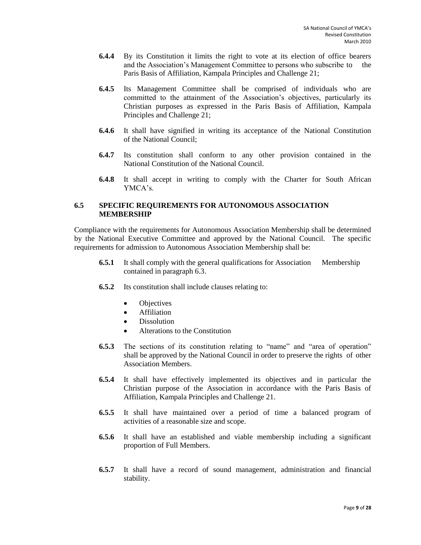- **6.4.4** By its Constitution it limits the right to vote at its election of office bearers and the Association's Management Committee to persons who subscribe to the Paris Basis of Affiliation, Kampala Principles and Challenge 21;
- **6.4.5** Its Management Committee shall be comprised of individuals who are committed to the attainment of the Association's objectives, particularly its Christian purposes as expressed in the Paris Basis of Affiliation, Kampala Principles and Challenge 21;
- **6.4.6** It shall have signified in writing its acceptance of the National Constitution of the National Council;
- **6.4.7** Its constitution shall conform to any other provision contained in the National Constitution of the National Council.
- **6.4.8** It shall accept in writing to comply with the Charter for South African YMCA's.

#### **6.5 SPECIFIC REQUIREMENTS FOR AUTONOMOUS ASSOCIATION MEMBERSHIP**

Compliance with the requirements for Autonomous Association Membership shall be determined by the National Executive Committee and approved by the National Council. The specific requirements for admission to Autonomous Association Membership shall be:

- **6.5.1** It shall comply with the general qualifications for Association Membership contained in paragraph 6.3.
- **6.5.2** Its constitution shall include clauses relating to:
	- Objectives
	- Affiliation
	- **Dissolution**
	- Alterations to the Constitution
- **6.5.3** The sections of its constitution relating to "name" and "area of operation" shall be approved by the National Council in order to preserve the rights of other Association Members.
- **6.5.4** It shall have effectively implemented its objectives and in particular the Christian purpose of the Association in accordance with the Paris Basis of Affiliation, Kampala Principles and Challenge 21.
- **6.5.5** It shall have maintained over a period of time a balanced program of activities of a reasonable size and scope.
- **6.5.6** It shall have an established and viable membership including a significant proportion of Full Members.
- **6.5.7** It shall have a record of sound management, administration and financial stability.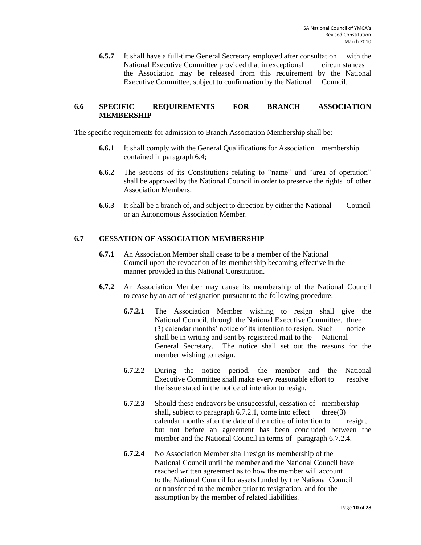**6.5.7** It shall have a full-time General Secretary employed after consultation with the National Executive Committee provided that in exceptional circumstances the Association may be released from this requirement by the National Executive Committee, subject to confirmation by the National Council.

# **6.6 SPECIFIC REQUIREMENTS FOR BRANCH ASSOCIATION MEMBERSHIP**

The specific requirements for admission to Branch Association Membership shall be:

- **6.6.1** It shall comply with the General Qualifications for Association membership contained in paragraph 6.4;
- **6.6.2** The sections of its Constitutions relating to "name" and "area of operation" shall be approved by the National Council in order to preserve the rights of other Association Members.
- **6.6.3** It shall be a branch of, and subject to direction by either the National Council or an Autonomous Association Member.

# **6.7 CESSATION OF ASSOCIATION MEMBERSHIP**

- **6.7.1** An Association Member shall cease to be a member of the National Council upon the revocation of its membership becoming effective in the manner provided in this National Constitution.
- **6.7.2** An Association Member may cause its membership of the National Council to cease by an act of resignation pursuant to the following procedure:
	- **6.7.2.1** The Association Member wishing to resign shall give the National Council, through the National Executive Committee, three (3) calendar months' notice of its intention to resign. Such notice shall be in writing and sent by registered mail to the National General Secretary. The notice shall set out the reasons for the member wishing to resign.
	- **6.7.2.2** During the notice period, the member and the National Executive Committee shall make every reasonable effort to resolve the issue stated in the notice of intention to resign.
	- **6.7.2.3** Should these endeavors be unsuccessful, cessation of membership shall, subject to paragraph  $6.7.2.1$ , come into effect three(3) calendar months after the date of the notice of intention to resign, but not before an agreement has been concluded between the member and the National Council in terms of paragraph 6.7.2.4.
	- **6.7.2.4** No Association Member shall resign its membership of the National Council until the member and the National Council have reached written agreement as to how the member will account to the National Council for assets funded by the National Council or transferred to the member prior to resignation, and for the assumption by the member of related liabilities.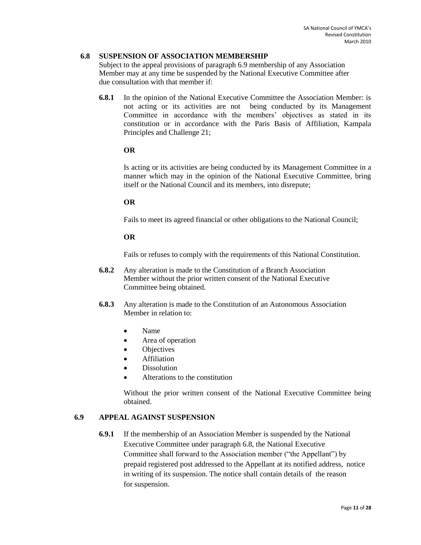#### **6.8 SUSPENSION OF ASSOCIATION MEMBERSHIP**

Subject to the appeal provisions of paragraph 6.9 membership of any Association Member may at any time be suspended by the National Executive Committee after due consultation with that member if:

**6.8.1** In the opinion of the National Executive Committee the Association Member: is not acting or its activities are not being conducted by its Management Committee in accordance with the members' objectives as stated in its constitution or in accordance with the Paris Basis of Affiliation, Kampala Principles and Challenge 21;

#### **OR**

Is acting or its activities are being conducted by its Management Committee in a manner which may in the opinion of the National Executive Committee, bring itself or the National Council and its members, into disrepute;

#### **OR**

Fails to meet its agreed financial or other obligations to the National Council;

#### **OR**

Fails or refuses to comply with the requirements of this National Constitution.

- **6.8.2** Any alteration is made to the Constitution of a Branch Association Member without the prior written consent of the National Executive Committee being obtained.
- **6.8.3** Any alteration is made to the Constitution of an Autonomous Association Member in relation to:
	- Name
	- Area of operation
	- **Objectives**
	- Affiliation
	- Dissolution
	- Alterations to the constitution

Without the prior written consent of the National Executive Committee being obtained.

# **6.9 APPEAL AGAINST SUSPENSION**

**6.9.1** If the membership of an Association Member is suspended by the National Executive Committee under paragraph 6.8, the National Executive Committee shall forward to the Association member ("the Appellant") by prepaid registered post addressed to the Appellant at its notified address, notice in writing of its suspension. The notice shall contain details of the reason for suspension.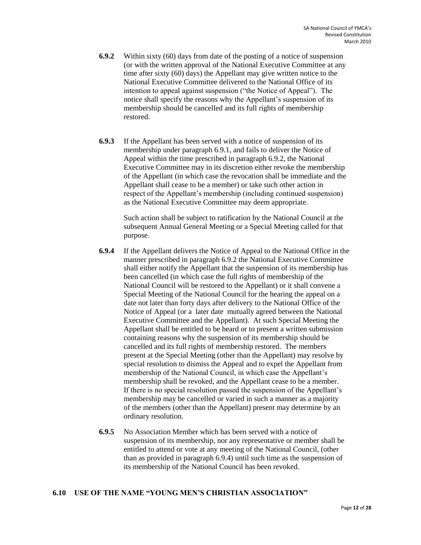- **6.9.2** Within sixty (60) days from date of the posting of a notice of suspension (or with the written approval of the National Executive Committee at any time after sixty (60) days) the Appellant may give written notice to the National Executive Committee delivered to the National Office of its intention to appeal against suspension ("the Notice of Appeal"). The notice shall specify the reasons why the Appellant's suspension of its membership should be cancelled and its full rights of membership restored.
- **6.9.3** If the Appellant has been served with a notice of suspension of its membership under paragraph 6.9.1, and fails to deliver the Notice of Appeal within the time prescribed in paragraph 6.9.2, the National Executive Committee may in its discretion either revoke the membership of the Appellant (in which case the revocation shall be immediate and the Appellant shall cease to be a member) or take such other action in respect of the Appellant's membership (including continued suspension) as the National Executive Committee may deem appropriate.

Such action shall be subject to ratification by the National Council at the subsequent Annual General Meeting or a Special Meeting called for that purpose.

- **6.9.4** If the Appellant delivers the Notice of Appeal to the National Office in the manner prescribed in paragraph 6.9.2 the National Executive Committee shall either notify the Appellant that the suspension of its membership has been cancelled (in which case the full rights of membership of the National Council will be restored to the Appellant) or it shall convene a Special Meeting of the National Council for the hearing the appeal on a date not later than forty days after delivery to the National Office of the Notice of Appeal (or a later date mutually agreed between the National Executive Committee and the Appellant). At such Special Meeting the Appellant shall be entitled to be heard or to present a written submission containing reasons why the suspension of its membership should be cancelled and its full rights of membership restored. The members present at the Special Meeting (other than the Appellant) may resolve by special resolution to dismiss the Appeal and to expel the Appellant from membership of the National Council, in which case the Appellant's membership shall be revoked, and the Appellant cease to be a member. If there is no special resolution passed the suspension of the Appellant's membership may be cancelled or varied in such a manner as a majority of the members (other than the Appellant) present may determine by an ordinary resolution.
- **6.9.5** No Association Member which has been served with a notice of suspension of its membership, nor any representative or member shall be entitled to attend or vote at any meeting of the National Council, (other than as provided in paragraph 6.9.4) until such time as the suspension of its membership of the National Council has been revoked.

# **6.10 USE OF THE NAME "YOUNG MEN'S CHRISTIAN ASSOCIATION"**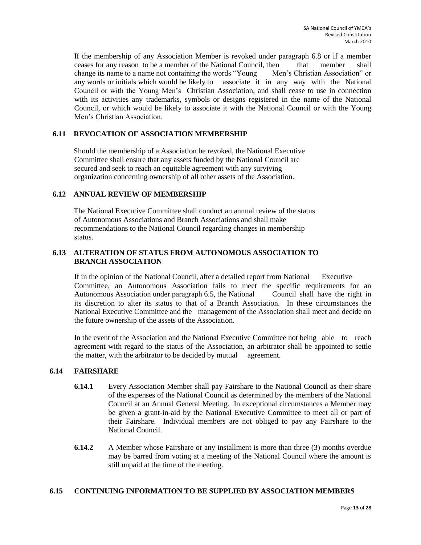If the membership of any Association Member is revoked under paragraph 6.8 or if a member ceases for any reason to be a member of the National Council, then that member shall change its name to a name not containing the words "Young Men's Christian Association" or any words or initials which would be likely to associate it in any way with the National Council or with the Young Men's Christian Association, and shall cease to use in connection with its activities any trademarks, symbols or designs registered in the name of the National Council, or which would be likely to associate it with the National Council or with the Young Men's Christian Association.

# **6.11 REVOCATION OF ASSOCIATION MEMBERSHIP**

Should the membership of a Association be revoked, the National Executive Committee shall ensure that any assets funded by the National Council are secured and seek to reach an equitable agreement with any surviving organization concerning ownership of all other assets of the Association.

# **6.12 ANNUAL REVIEW OF MEMBERSHIP**

The National Executive Committee shall conduct an annual review of the status of Autonomous Associations and Branch Associations and shall make recommendations to the National Council regarding changes in membership status.

# **6.13 ALTERATION OF STATUS FROM AUTONOMOUS ASSOCIATION TO BRANCH ASSOCIATION**

If in the opinion of the National Council, after a detailed report from National Executive Committee, an Autonomous Association fails to meet the specific requirements for an Autonomous Association under paragraph 6.5, the National Council shall have the right in its discretion to alter its status to that of a Branch Association. In these circumstances the National Executive Committee and the management of the Association shall meet and decide on the future ownership of the assets of the Association.

In the event of the Association and the National Executive Committee not being able to reach agreement with regard to the status of the Association, an arbitrator shall be appointed to settle the matter, with the arbitrator to be decided by mutual agreement.

# **6.14 FAIRSHARE**

- **6.14.1** Every Association Member shall pay Fairshare to the National Council as their share of the expenses of the National Council as determined by the members of the National Council at an Annual General Meeting. In exceptional circumstances a Member may be given a grant-in-aid by the National Executive Committee to meet all or part of their Fairshare. Individual members are not obliged to pay any Fairshare to the National Council.
- **6.14.2** A Member whose Fairshare or any installment is more than three (3) months overdue may be barred from voting at a meeting of the National Council where the amount is still unpaid at the time of the meeting.

#### **6.15 CONTINUING INFORMATION TO BE SUPPLIED BY ASSOCIATION MEMBERS**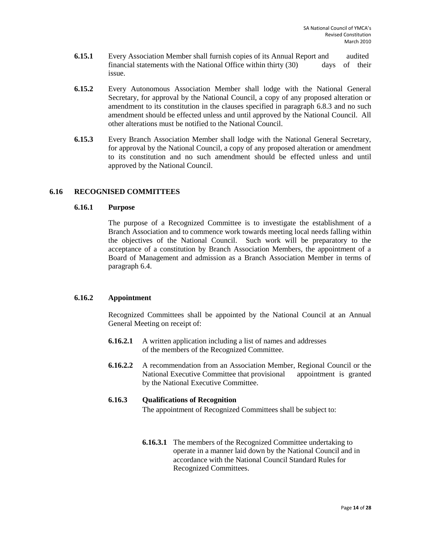- **6.15.1** Every Association Member shall furnish copies of its Annual Report and audited financial statements with the National Office within thirty (30) days of their issue.
- **6.15.2** Every Autonomous Association Member shall lodge with the National General Secretary, for approval by the National Council, a copy of any proposed alteration or amendment to its constitution in the clauses specified in paragraph 6.8.3 and no such amendment should be effected unless and until approved by the National Council. All other alterations must be notified to the National Council.
- **6.15.3** Every Branch Association Member shall lodge with the National General Secretary, for approval by the National Council, a copy of any proposed alteration or amendment to its constitution and no such amendment should be effected unless and until approved by the National Council.

#### **6.16 RECOGNISED COMMITTEES**

#### **6.16.1 Purpose**

The purpose of a Recognized Committee is to investigate the establishment of a Branch Association and to commence work towards meeting local needs falling within the objectives of the National Council. Such work will be preparatory to the acceptance of a constitution by Branch Association Members, the appointment of a Board of Management and admission as a Branch Association Member in terms of paragraph 6.4.

# **6.16.2 Appointment**

Recognized Committees shall be appointed by the National Council at an Annual General Meeting on receipt of:

- **6.16.2.1** A written application including a list of names and addresses of the members of the Recognized Committee.
- **6.16.2.2** A recommendation from an Association Member, Regional Council or the National Executive Committee that provisional appointment is granted by the National Executive Committee.

#### **6.16.3 Qualifications of Recognition**

The appointment of Recognized Committees shall be subject to:

**6.16.3.1** The members of the Recognized Committee undertaking to operate in a manner laid down by the National Council and in accordance with the National Council Standard Rules for Recognized Committees.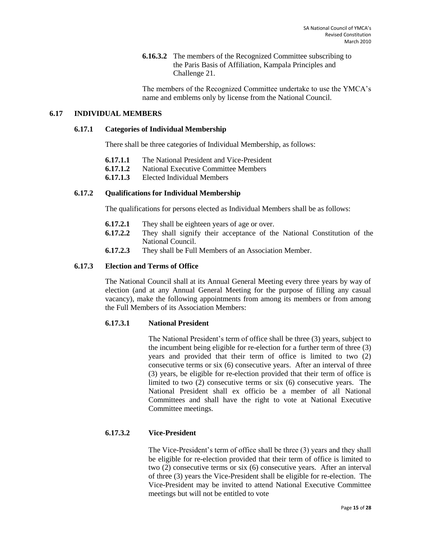**6.16.3.2** The members of the Recognized Committee subscribing to the Paris Basis of Affiliation, Kampala Principles and Challenge 21.

The members of the Recognized Committee undertake to use the YMCA's name and emblems only by license from the National Council.

# **6.17 INDIVIDUAL MEMBERS**

#### **6.17.1 Categories of Individual Membership**

There shall be three categories of Individual Membership, as follows:

- **6.17.1.1** The National President and Vice-President
- **6.17.1.2** National Executive Committee Members
- **6.17.1.3** Elected Individual Members

# **6.17.2 Qualifications for Individual Membership**

The qualifications for persons elected as Individual Members shall be as follows:

- **6.17.2.1** They shall be eighteen years of age or over.
- **6.17.2.2** They shall signify their acceptance of the National Constitution of the National Council.
- **6.17.2.3** They shall be Full Members of an Association Member.

#### **6.17.3 Election and Terms of Office**

The National Council shall at its Annual General Meeting every three years by way of election (and at any Annual General Meeting for the purpose of filling any casual vacancy), make the following appointments from among its members or from among the Full Members of its Association Members:

#### **6.17.3.1 National President**

The National President's term of office shall be three (3) years, subject to the incumbent being eligible for re-election for a further term of three (3) years and provided that their term of office is limited to two (2) consecutive terms or six (6) consecutive years. After an interval of three (3) years, be eligible for re-election provided that their term of office is limited to two (2) consecutive terms or six (6) consecutive years. The National President shall ex officio be a member of all National Committees and shall have the right to vote at National Executive Committee meetings.

# **6.17.3.2 Vice-President**

The Vice-President's term of office shall be three (3) years and they shall be eligible for re-election provided that their term of office is limited to two (2) consecutive terms or six (6) consecutive years. After an interval of three (3) years the Vice-President shall be eligible for re-election. The Vice-President may be invited to attend National Executive Committee meetings but will not be entitled to vote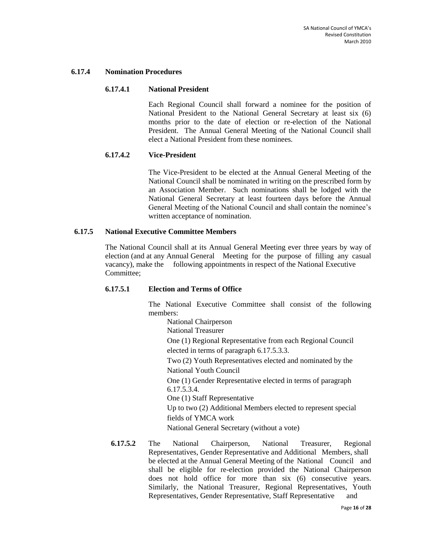#### **6.17.4 Nomination Procedures**

#### **6.17.4.1 National President**

Each Regional Council shall forward a nominee for the position of National President to the National General Secretary at least six (6) months prior to the date of election or re-election of the National President. The Annual General Meeting of the National Council shall elect a National President from these nominees.

#### **6.17.4.2 Vice-President**

The Vice-President to be elected at the Annual General Meeting of the National Council shall be nominated in writing on the prescribed form by an Association Member. Such nominations shall be lodged with the National General Secretary at least fourteen days before the Annual General Meeting of the National Council and shall contain the nominee's written acceptance of nomination.

# **6.17.5 National Executive Committee Members**

The National Council shall at its Annual General Meeting ever three years by way of election (and at any Annual General Meeting for the purpose of filling any casual vacancy), make the following appointments in respect of the National Executive Committee;

#### **6.17.5.1 Election and Terms of Office**

The National Executive Committee shall consist of the following members:

National Chairperson National Treasurer One (1) Regional Representative from each Regional Council elected in terms of paragraph 6.17.5.3.3. Two (2) Youth Representatives elected and nominated by the National Youth Council One (1) Gender Representative elected in terms of paragraph 6.17.5.3.4. One (1) Staff Representative Up to two (2) Additional Members elected to represent special fields of YMCA work National General Secretary (without a vote)

**6.17.5.2** The National Chairperson, National Treasurer, Regional Representatives, Gender Representative and Additional Members, shall be elected at the Annual General Meeting of the National Council and shall be eligible for re-election provided the National Chairperson does not hold office for more than six (6) consecutive years. Similarly, the National Treasurer, Regional Representatives, Youth Representatives, Gender Representative, Staff Representative and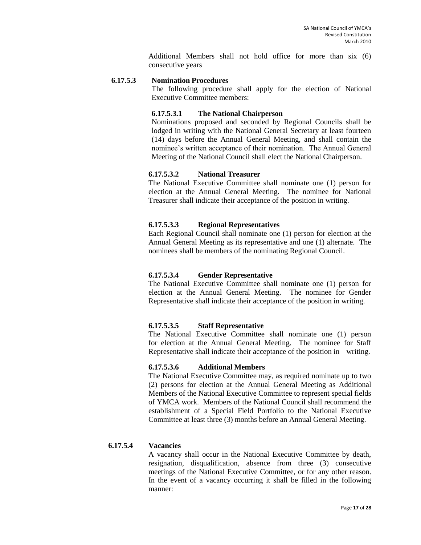Additional Members shall not hold office for more than six (6) consecutive years

#### **6.17.5.3 Nomination Procedures**

The following procedure shall apply for the election of National Executive Committee members:

#### **6.17.5.3.1 The National Chairperson**

Nominations proposed and seconded by Regional Councils shall be lodged in writing with the National General Secretary at least fourteen (14) days before the Annual General Meeting, and shall contain the nominee's written acceptance of their nomination. The Annual General Meeting of the National Council shall elect the National Chairperson.

#### **6.17.5.3.2 National Treasurer**

The National Executive Committee shall nominate one (1) person for election at the Annual General Meeting. The nominee for National Treasurer shall indicate their acceptance of the position in writing.

#### **6.17.5.3.3 Regional Representatives**

Each Regional Council shall nominate one (1) person for election at the Annual General Meeting as its representative and one (1) alternate. The nominees shall be members of the nominating Regional Council.

#### **6.17.5.3.4 Gender Representative**

The National Executive Committee shall nominate one (1) person for election at the Annual General Meeting. The nominee for Gender Representative shall indicate their acceptance of the position in writing.

#### **6.17.5.3.5 Staff Representative**

The National Executive Committee shall nominate one (1) person for election at the Annual General Meeting. The nominee for Staff Representative shall indicate their acceptance of the position in writing.

#### **6.17.5.3.6 Additional Members**

The National Executive Committee may, as required nominate up to two (2) persons for election at the Annual General Meeting as Additional Members of the National Executive Committee to represent special fields of YMCA work. Members of the National Council shall recommend the establishment of a Special Field Portfolio to the National Executive Committee at least three (3) months before an Annual General Meeting.

#### **6.17.5.4 Vacancies**

A vacancy shall occur in the National Executive Committee by death, resignation, disqualification, absence from three (3) consecutive meetings of the National Executive Committee, or for any other reason. In the event of a vacancy occurring it shall be filled in the following manner: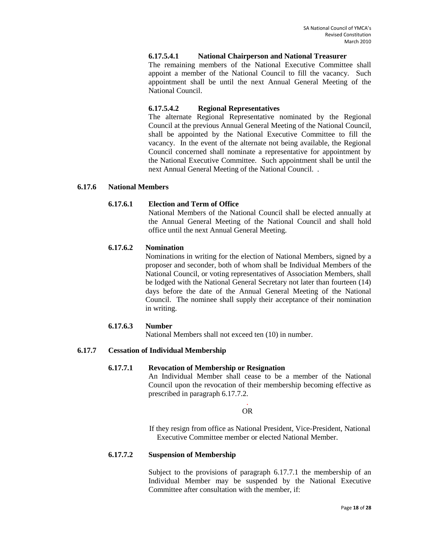#### **6.17.5.4.1 National Chairperson and National Treasurer**

The remaining members of the National Executive Committee shall appoint a member of the National Council to fill the vacancy. Such appointment shall be until the next Annual General Meeting of the National Council.

#### **6.17.5.4.2 Regional Representatives**

The alternate Regional Representative nominated by the Regional Council at the previous Annual General Meeting of the National Council, shall be appointed by the National Executive Committee to fill the vacancy. In the event of the alternate not being available, the Regional Council concerned shall nominate a representative for appointment by the National Executive Committee. Such appointment shall be until the next Annual General Meeting of the National Council. .

#### **6.17.6 National Members**

#### **6.17.6.1 Election and Term of Office**

National Members of the National Council shall be elected annually at the Annual General Meeting of the National Council and shall hold office until the next Annual General Meeting.

#### **6.17.6.2 Nomination**

Nominations in writing for the election of National Members, signed by a proposer and seconder, both of whom shall be Individual Members of the National Council, or voting representatives of Association Members, shall be lodged with the National General Secretary not later than fourteen (14) days before the date of the Annual General Meeting of the National Council. The nominee shall supply their acceptance of their nomination in writing.

#### **6.17.6.3 Number**

National Members shall not exceed ten (10) in number.

#### **6.17.7 Cessation of Individual Membership**

#### **6.17.7.1 Revocation of Membership or Resignation**

An Individual Member shall cease to be a member of the National Council upon the revocation of their membership becoming effective as prescribed in paragraph 6.17.7.2.

#### . OR

If they resign from office as National President, Vice-President, National Executive Committee member or elected National Member.

#### **6.17.7.2 Suspension of Membership**

Subject to the provisions of paragraph 6.17.7.1 the membership of an Individual Member may be suspended by the National Executive Committee after consultation with the member, if: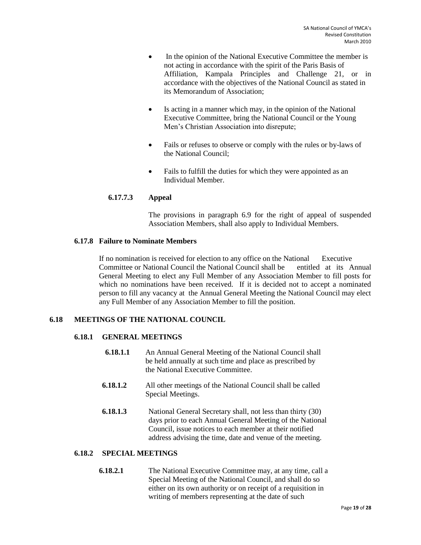- In the opinion of the National Executive Committee the member is not acting in accordance with the spirit of the Paris Basis of Affiliation, Kampala Principles and Challenge 21, or in accordance with the objectives of the National Council as stated in its Memorandum of Association;
- Is acting in a manner which may, in the opinion of the National Executive Committee, bring the National Council or the Young Men's Christian Association into disrepute;
- Fails or refuses to observe or comply with the rules or by-laws of the National Council;
- Fails to fulfill the duties for which they were appointed as an Individual Member.

#### **6.17.7.3 Appeal**

The provisions in paragraph 6.9 for the right of appeal of suspended Association Members, shall also apply to Individual Members.

#### **6.17.8 Failure to Nominate Members**

If no nomination is received for election to any office on the National Executive Committee or National Council the National Council shall be entitled at its Annual General Meeting to elect any Full Member of any Association Member to fill posts for which no nominations have been received. If it is decided not to accept a nominated person to fill any vacancy at the Annual General Meeting the National Council may elect any Full Member of any Association Member to fill the position.

# <span id="page-18-0"></span>**6.18 MEETINGS OF THE NATIONAL COUNCIL**

# **6.18.1 GENERAL MEETINGS**

- **6.18.1.1** An Annual General Meeting of the National Council shall be held annually at such time and place as prescribed by the National Executive Committee.
- **6.18.1.2** All other meetings of the National Council shall be called Special Meetings.
- **6.18.1.3** National General Secretary shall, not less than thirty (30) days prior to each Annual General Meeting of the National Council, issue notices to each member at their notified address advising the time, date and venue of the meeting.

#### **6.18.2 SPECIAL MEETINGS**

**6.18.2.1** The National Executive Committee may, at any time, call a Special Meeting of the National Council, and shall do so either on its own authority or on receipt of a requisition in writing of members representing at the date of such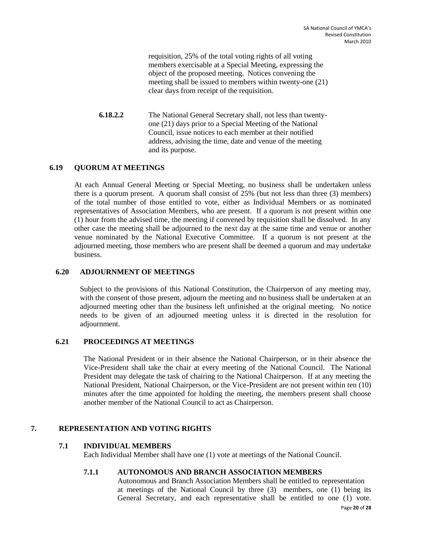requisition, 25% of the total voting rights of all voting members exercisable at a Special Meeting, expressing the object of the proposed meeting. Notices convening the meeting shall be issued to members within twenty-one (21) clear days from receipt of the requisition.

**6.18.2.2** The National General Secretary shall, not less than twentyone (21) days prior to a Special Meeting of the National Council, issue notices to each member at their notified address, advising the time, date and venue of the meeting and its purpose.

#### **6.19 QUORUM AT MEETINGS**

At each Annual General Meeting or Special Meeting, no business shall be undertaken unless there is a quorum present. A quorum shall consist of 25% (but not less than three (3) members) of the total number of those entitled to vote, either as Individual Members or as nominated representatives of Association Members, who are present. If a quorum is not present within one (1) hour from the advised time, the meeting if convened by requisition shall be dissolved. In any other case the meeting shall be adjourned to the next day at the same time and venue or another venue nominated by the National Executive Committee. If a quorum is not present at the adjourned meeting, those members who are present shall be deemed a quorum and may undertake business.

#### **6.20 ADJOURNMENT OF MEETINGS**

Subject to the provisions of this National Constitution, the Chairperson of any meeting may, with the consent of those present, adjourn the meeting and no business shall be undertaken at an adjourned meeting other than the business left unfinished at the original meeting. No notice needs to be given of an adjourned meeting unless it is directed in the resolution for adjournment.

#### **6.21 PROCEEDINGS AT MEETINGS**

The National President or in their absence the National Chairperson, or in their absence the Vice-President shall take the chair at every meeting of the National Council. The National President may delegate the task of chairing to the National Chairperson. If at any meeting the National President, National Chairperson, or the Vice-President are not present within ten (10) minutes after the time appointed for holding the meeting, the members present shall choose another member of the National Council to act as Chairperson.

# <span id="page-19-0"></span>**7. REPRESENTATION AND VOTING RIGHTS**

# **7.1 INDIVIDUAL MEMBERS**

Each Individual Member shall have one (1) vote at meetings of the National Council.

# **7.1.1 AUTONOMOUS AND BRANCH ASSOCIATION MEMBERS**

Autonomous and Branch Association Members shall be entitled to representation at meetings of the National Council by three (3) members, one (1) being its General Secretary, and each representative shall be entitled to one (1) vote.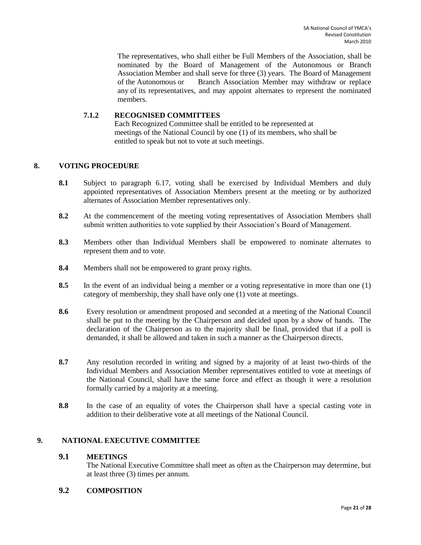The representatives, who shall either be Full Members of the Association, shall be nominated by the Board of Management of the Autonomous or Branch Association Member and shall serve for three (3) years. The Board of Management of the Autonomous or Branch Association Member may withdraw or replace any of its representatives, and may appoint alternates to represent the nominated members.

# **7.1.2 RECOGNISED COMMITTEES**

Each Recognized Committee shall be entitled to be represented at meetings of the National Council by one (1) of its members, who shall be entitled to speak but not to vote at such meetings.

#### <span id="page-20-0"></span>**8. VOTING PROCEDURE**

- **8.1** Subject to paragraph 6.17, voting shall be exercised by Individual Members and duly appointed representatives of Association Members present at the meeting or by authorized alternates of Association Member representatives only.
- **8.2** At the commencement of the meeting voting representatives of Association Members shall submit written authorities to vote supplied by their Association's Board of Management.
- **8.3** Members other than Individual Members shall be empowered to nominate alternates to represent them and to vote.
- **8.4** Members shall not be empowered to grant proxy rights.
- **8.5** In the event of an individual being a member or a voting representative in more than one (1) category of membership, they shall have only one (1) vote at meetings.
- **8.6** Every resolution or amendment proposed and seconded at a meeting of the National Council shall be put to the meeting by the Chairperson and decided upon by a show of hands. The declaration of the Chairperson as to the majority shall be final, provided that if a poll is demanded, it shall be allowed and taken in such a manner as the Chairperson directs.
- **8.7** Any resolution recorded in writing and signed by a majority of at least two-thirds of the Individual Members and Association Member representatives entitled to vote at meetings of the National Council, shall have the same force and effect as though it were a resolution formally carried by a majority at a meeting.
- **8.8** In the case of an equality of votes the Chairperson shall have a special casting vote in addition to their deliberative vote at all meetings of the National Council.

# <span id="page-20-1"></span>**9. NATIONAL EXECUTIVE COMMITTEE**

#### **9.1 MEETINGS**

The National Executive Committee shall meet as often as the Chairperson may determine, but at least three (3) times per annum.

# **9.2 COMPOSITION**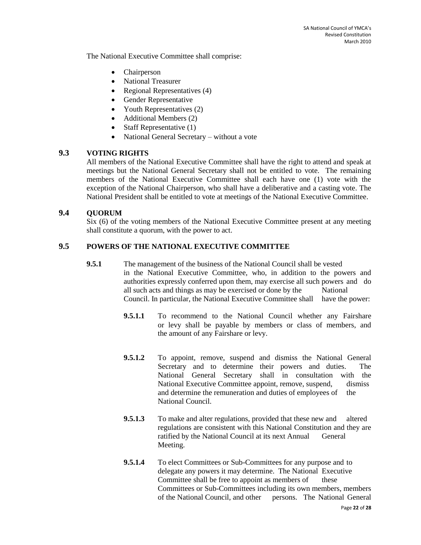The National Executive Committee shall comprise:

- Chairperson
- National Treasurer
- Regional Representatives (4)
- Gender Representative
- Youth Representatives (2)
- Additional Members (2)
- Staff Representative  $(1)$
- National General Secretary without a vote

# **9.3 VOTING RIGHTS**

All members of the National Executive Committee shall have the right to attend and speak at meetings but the National General Secretary shall not be entitled to vote. The remaining members of the National Executive Committee shall each have one (1) vote with the exception of the National Chairperson, who shall have a deliberative and a casting vote. The National President shall be entitled to vote at meetings of the National Executive Committee.

# **9.4 QUORUM**

Six (6) of the voting members of the National Executive Committee present at any meeting shall constitute a quorum, with the power to act.

# **9.5 POWERS OF THE NATIONAL EXECUTIVE COMMITTEE**

- **9.5.1** The management of the business of the National Council shall be vested in the National Executive Committee, who, in addition to the powers and authorities expressly conferred upon them, may exercise all such powers and do all such acts and things as may be exercised or done by the National Council. In particular, the National Executive Committee shall have the power:
	- **9.5.1.1** To recommend to the National Council whether any Fairshare or levy shall be payable by members or class of members, and the amount of any Fairshare or levy.
	- **9.5.1.2** To appoint, remove, suspend and dismiss the National General Secretary and to determine their powers and duties. The National General Secretary shall in consultation with the National Executive Committee appoint, remove, suspend, dismiss and determine the remuneration and duties of employees of the National Council.
	- **9.5.1.3** To make and alter regulations, provided that these new and altered regulations are consistent with this National Constitution and they are ratified by the National Council at its next Annual General Meeting.
	- **9.5.1.4** To elect Committees or Sub-Committees for any purpose and to delegate any powers it may determine. The National Executive Committee shall be free to appoint as members of these Committees or Sub-Committees including its own members, members of the National Council, and other persons. The National General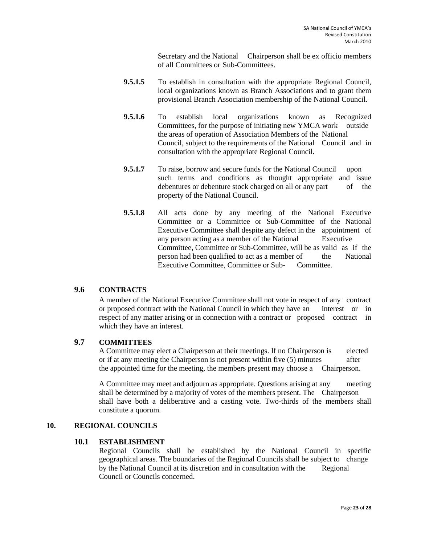Secretary and the National Chairperson shall be ex officio members of all Committees or Sub-Committees.

- **9.5.1.5** To establish in consultation with the appropriate Regional Council, local organizations known as Branch Associations and to grant them provisional Branch Association membership of the National Council.
- **9.5.1.6** To establish local organizations known as Recognized Committees, for the purpose of initiating new YMCA work outside the areas of operation of Association Members of the National Council, subject to the requirements of the National Council and in consultation with the appropriate Regional Council.
- **9.5.1.7** To raise, borrow and secure funds for the National Council upon such terms and conditions as thought appropriate and issue debentures or debenture stock charged on all or any part of the property of the National Council.
- **9.5.1.8** All acts done by any meeting of the National Executive Committee or a Committee or Sub-Committee of the National Executive Committee shall despite any defect in the appointment of any person acting as a member of the National Executive Committee, Committee or Sub-Committee, will be as valid as if the person had been qualified to act as a member of the National Executive Committee, Committee or Sub- Committee.

# **9.6 CONTRACTS**

A member of the National Executive Committee shall not vote in respect of any contract or proposed contract with the National Council in which they have an interest or in respect of any matter arising or in connection with a contract or proposed contract in which they have an interest.

# **9.7 COMMITTEES**

A Committee may elect a Chairperson at their meetings. If no Chairperson is elected or if at any meeting the Chairperson is not present within five (5) minutes after the appointed time for the meeting, the members present may choose a Chairperson.

A Committee may meet and adjourn as appropriate. Questions arising at any meeting shall be determined by a majority of votes of the members present. The Chairperson shall have both a deliberative and a casting vote. Two-thirds of the members shall constitute a quorum.

#### <span id="page-22-0"></span>**10. REGIONAL COUNCILS**

#### **10.1 ESTABLISHMENT**

Regional Councils shall be established by the National Council in specific geographical areas. The boundaries of the Regional Councils shall be subject to change by the National Council at its discretion and in consultation with the Regional Council or Councils concerned.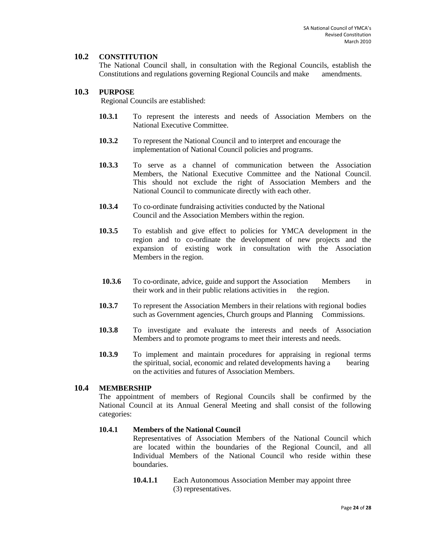# **10.2 CONSTITUTION**

The National Council shall, in consultation with the Regional Councils, establish the Constitutions and regulations governing Regional Councils and make amendments.

#### **10.3 PURPOSE**

Regional Councils are established:

- **10.3.1** To represent the interests and needs of Association Members on the National Executive Committee.
- **10.3.2** To represent the National Council and to interpret and encourage the implementation of National Council policies and programs.
- **10.3.3** To serve as a channel of communication between the Association Members, the National Executive Committee and the National Council. This should not exclude the right of Association Members and the National Council to communicate directly with each other.
- **10.3.4** To co-ordinate fundraising activities conducted by the National Council and the Association Members within the region.
- **10.3.5** To establish and give effect to policies for YMCA development in the region and to co-ordinate the development of new projects and the expansion of existing work in consultation with the Association Members in the region.
- **10.3.6** To co-ordinate, advice, guide and support the Association Members in their work and in their public relations activities in the region.
- **10.3.7** To represent the Association Members in their relations with regional bodies such as Government agencies, Church groups and Planning Commissions.
- **10.3.8** To investigate and evaluate the interests and needs of Association Members and to promote programs to meet their interests and needs.
- **10.3.9** To implement and maintain procedures for appraising in regional terms the spiritual, social, economic and related developments having a bearing on the activities and futures of Association Members.

# **10.4 MEMBERSHIP**

The appointment of members of Regional Councils shall be confirmed by the National Council at its Annual General Meeting and shall consist of the following categories:

#### **10.4.1 Members of the National Council**

Representatives of Association Members of the National Council which are located within the boundaries of the Regional Council, and all Individual Members of the National Council who reside within these boundaries.

**10.4.1.1** Each Autonomous Association Member may appoint three (3) representatives.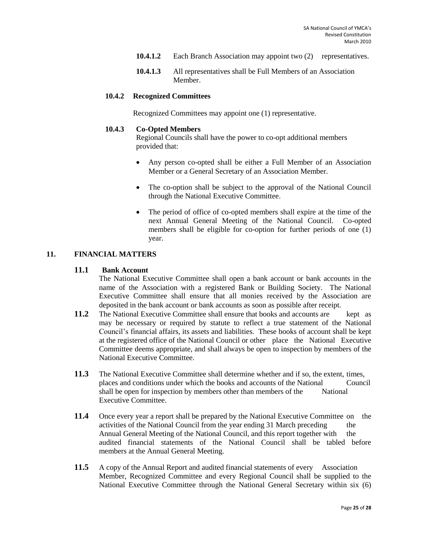- **10.4.1.2** Each Branch Association may appoint two (2) representatives.
- **10.4.1.3** All representatives shall be Full Members of an Association Member.

#### **10.4.2 Recognized Committees**

Recognized Committees may appoint one (1) representative.

#### **10.4.3 Co-Opted Members**

Regional Councils shall have the power to co-opt additional members provided that:

- Any person co-opted shall be either a Full Member of an Association Member or a General Secretary of an Association Member.
- The co-option shall be subject to the approval of the National Council through the National Executive Committee.
- The period of office of co-opted members shall expire at the time of the next Annual General Meeting of the National Council. Co-opted members shall be eligible for co-option for further periods of one (1) year.

# <span id="page-24-0"></span>**11. FINANCIAL MATTERS**

#### **11.1 Bank Account**

The National Executive Committee shall open a bank account or bank accounts in the name of the Association with a registered Bank or Building Society. The National Executive Committee shall ensure that all monies received by the Association are deposited in the bank account or bank accounts as soon as possible after receipt.

- **11.2** The National Executive Committee shall ensure that books and accounts are kept as may be necessary or required by statute to reflect a true statement of the National Council's financial affairs, its assets and liabilities. These books of account shall be kept at the registered office of the National Council or other place the National Executive Committee deems appropriate, and shall always be open to inspection by members of the National Executive Committee.
- **11.3** The National Executive Committee shall determine whether and if so, the extent, times, places and conditions under which the books and accounts of the National Council shall be open for inspection by members other than members of the National Executive Committee.
- **11.4** Once every year a report shall be prepared by the National Executive Committee on the activities of the National Council from the year ending 31 March preceding the Annual General Meeting of the National Council, and this report together with the audited financial statements of the National Council shall be tabled before members at the Annual General Meeting.
- **11.5** A copy of the Annual Report and audited financial statements of every Association Member, Recognized Committee and every Regional Council shall be supplied to the National Executive Committee through the National General Secretary within six (6)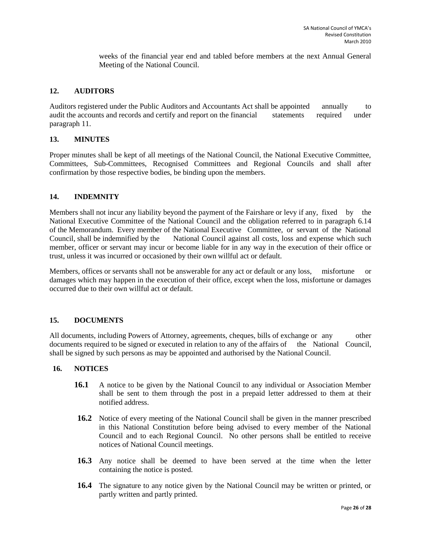weeks of the financial year end and tabled before members at the next Annual General Meeting of the National Council.

#### <span id="page-25-0"></span>**12. AUDITORS**

Auditors registered under the Public Auditors and Accountants Act shall be appointed annually to audit the accounts and records and certify and report on the financial statements required under paragraph 11.

#### <span id="page-25-1"></span>**13. MINUTES**

Proper minutes shall be kept of all meetings of the National Council, the National Executive Committee, Committees, Sub-Committees, Recognised Committees and Regional Councils and shall after confirmation by those respective bodies, be binding upon the members.

#### <span id="page-25-2"></span>**14. INDEMNITY**

Members shall not incur any liability beyond the payment of the Fairshare or levy if any, fixed by the National Executive Committee of the National Council and the obligation referred to in paragraph 6.14 of the Memorandum. Every member of the National Executive Committee, or servant of the National Council, shall be indemnified by the National Council against all costs, loss and expense which such member, officer or servant may incur or become liable for in any way in the execution of their office or trust, unless it was incurred or occasioned by their own willful act or default.

Members, offices or servants shall not be answerable for any act or default or any loss, misfortune or damages which may happen in the execution of their office, except when the loss, misfortune or damages occurred due to their own willful act or default.

#### <span id="page-25-3"></span>**15. DOCUMENTS**

All documents, including Powers of Attorney, agreements, cheques, bills of exchange or any other documents required to be signed or executed in relation to any of the affairs of the National Council, shall be signed by such persons as may be appointed and authorised by the National Council.

#### <span id="page-25-4"></span>**16. NOTICES**

- **16.1** A notice to be given by the National Council to any individual or Association Member shall be sent to them through the post in a prepaid letter addressed to them at their notified address.
- **16.2** Notice of every meeting of the National Council shall be given in the manner prescribed in this National Constitution before being advised to every member of the National Council and to each Regional Council. No other persons shall be entitled to receive notices of National Council meetings.
- **16.3** Any notice shall be deemed to have been served at the time when the letter containing the notice is posted.
- **16.4** The signature to any notice given by the National Council may be written or printed, or partly written and partly printed.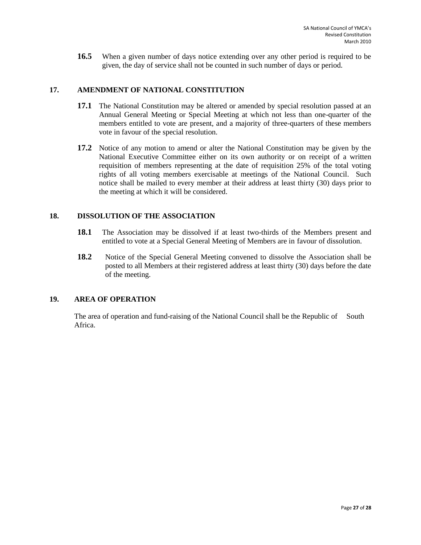**16.5** When a given number of days notice extending over any other period is required to be given, the day of service shall not be counted in such number of days or period.

#### <span id="page-26-0"></span>**17. AMENDMENT OF NATIONAL CONSTITUTION**

- **17.1** The National Constitution may be altered or amended by special resolution passed at an Annual General Meeting or Special Meeting at which not less than one-quarter of the members entitled to vote are present, and a majority of three-quarters of these members vote in favour of the special resolution.
- **17.2** Notice of any motion to amend or alter the National Constitution may be given by the National Executive Committee either on its own authority or on receipt of a written requisition of members representing at the date of requisition 25% of the total voting rights of all voting members exercisable at meetings of the National Council. Such notice shall be mailed to every member at their address at least thirty (30) days prior to the meeting at which it will be considered.

#### <span id="page-26-1"></span>**18. DISSOLUTION OF THE ASSOCIATION**

- **18.1** The Association may be dissolved if at least two-thirds of the Members present and entitled to vote at a Special General Meeting of Members are in favour of dissolution.
- **18.2** Notice of the Special General Meeting convened to dissolve the Association shall be posted to all Members at their registered address at least thirty (30) days before the date of the meeting.

# <span id="page-26-2"></span>**19. AREA OF OPERATION**

The area of operation and fund-raising of the National Council shall be the Republic of South Africa.